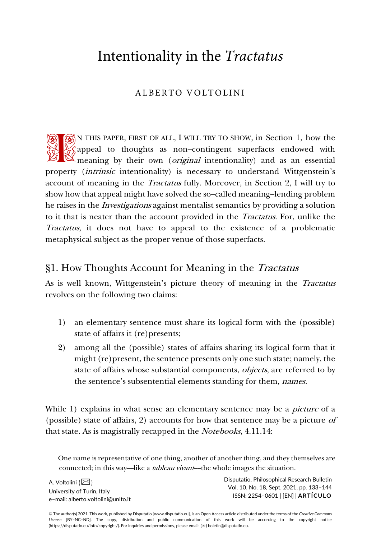# Intentionality in the *Tractatus*

# ALBERTO VOLTOLINI

N THIS PAPER, FIRST OF ALL, I WILL TRY TO SHOW, in Section 1, how the  $\frac{1}{26}$  appeal to thoughts as non–contingent superfacts endowed with **meaning by their own (original intentionality)** and as an essential and as an essential meaning by their own (*original* intentionality) and as an essential property (intrinsic intentionality) is necessary to understand Wittgenstein's account of meaning in the Tractatus fully. Moreover, in Section 2, I will try to show how that appeal might have solved the so–called meaning–lending problem he raises in the Investigations against mentalist semantics by providing a solution to it that is neater than the account provided in the Tractatus. For, unlike the Tractatus, it does not have to appeal to the existence of a problematic metaphysical subject as the proper venue of those superfacts.

## §1. How Thoughts Account for Meaning in the Tractatus

As is well known, Wittgenstein's picture theory of meaning in the Tractatus revolves on the following two claims:

- 1) an elementary sentence must share its logical form with the (possible) state of affairs it (re)presents;
- 2) among all the (possible) states of affairs sharing its logical form that it might (re)present, the sentence presents only one such state; namely, the state of affairs whose substantial components, *objects*, are referred to by the sentence's subsentential elements standing for them, names.

While 1) explains in what sense an elementary sentence may be a *picture* of a (possible) state of affairs, 2) accounts for how that sentence may be a picture of that state. As is magistrally recapped in the Notebooks, 4.11.14:

One name is representative of one thing, another of another thing, and they themselves are connected; in this way—like a *tableau vivant*—the whole images the situation.

A. Voltolini  $(\boxtimes)$ University of Turin, Italy e–mail: alberto.voltolini@unito.it Disputatio. Philosophical Research Bulletin Vol. 10, No. 18, Sept. 2021, pp. 133–144 ISSN: 2254–0601 | [EN] | **ARTÍCULO**

© The author(s) 2021. This work, published by Disputatio [www.disputatio.eu], is an Open Access article distributed under the terms of the *Creative Commons License* [BY–NC–ND]. The copy, distribution and public communication of this work will be according to the copyright notice (https://disputatio.eu/info/copyright/). For inquiries and permissions, please email: (✉) boletin@disputatio.eu.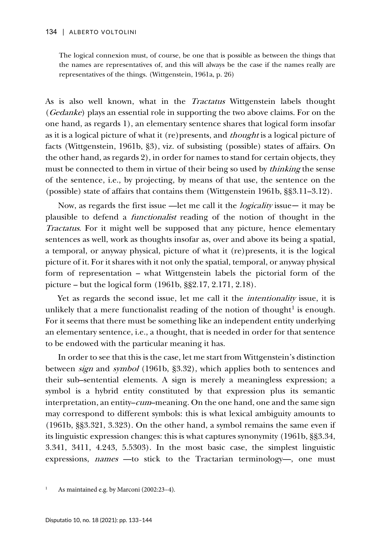The logical connexion must, of course, be one that is possible as between the things that the names are representatives of, and this will always be the case if the names really are representatives of the things. (Wittgenstein, 1961a, p. 26)

As is also well known, what in the Tractatus Wittgenstein labels thought (Gedanke) plays an essential role in supporting the two above claims. For on the one hand, as regards 1), an elementary sentence shares that logical form insofar as it is a logical picture of what it (re)presents, and *thought* is a logical picture of facts (Wittgenstein, 1961b, §3), viz. of subsisting (possible) states of affairs. On the other hand, as regards 2), in order for names to stand for certain objects, they must be connected to them in virtue of their being so used by *thinking* the sense of the sentence, i.e., by projecting, by means of that use, the sentence on the (possible) state of affairs that contains them (Wittgenstein 1961b, §§3.11–3.12).

Now, as regards the first issue — let me call it the *logicality* issue— it may be plausible to defend a functionalist reading of the notion of thought in the Tractatus. For it might well be supposed that any picture, hence elementary sentences as well, work as thoughts insofar as, over and above its being a spatial, a temporal, or anyway physical, picture of what it (re)presents, it is the logical picture of it. For it shares with it not only the spatial, temporal, or anyway physical form of representation – what Wittgenstein labels the pictorial form of the picture – but the logical form (1961b, §§2.17, 2.171, 2.18).

Yet as regards the second issue, let me call it the intentionality issue, it is unlikely that a mere functionalist reading of the notion of thought<sup>[1](#page-1-0)</sup> is enough. For it seems that there must be something like an independent entity underlying an elementary sentence, i.e., a thought, that is needed in order for that sentence to be endowed with the particular meaning it has.

In order to see that this is the case, let me start from Wittgenstein's distinction between sign and symbol (1961b, §3.32), which applies both to sentences and their sub–sentential elements. A sign is merely a meaningless expression; a symbol is a hybrid entity constituted by that expression plus its semantic interpretation, an entity–*cum*–meaning. On the one hand, one and the same sign may correspond to different symbols: this is what lexical ambiguity amounts to (1961b, §§3.321, 3.323). On the other hand, a symbol remains the same even if its linguistic expression changes: this is what captures synonymity (1961b, §§3.34, 3.341, 3411, 4.243, 5.5303). In the most basic case, the simplest linguistic expressions, names —to stick to the Tractarian terminology—, one must

<span id="page-1-0"></span>As maintained e.g. by Marconi (2002:23-4).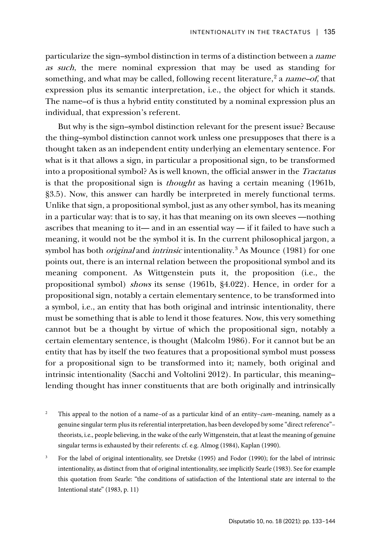particularize the sign–symbol distinction in terms of a distinction between a name as such, the mere nominal expression that may be used as standing for something, and what may be called, following recent literature,<sup>[2](#page-2-0)</sup> a name-of, that expression plus its semantic interpretation, i.e., the object for which it stands. The name–of is thus a hybrid entity constituted by a nominal expression plus an individual, that expression's referent.

But why is the sign–symbol distinction relevant for the present issue? Because the thing–symbol distinction cannot work unless one presupposes that there is a thought taken as an independent entity underlying an elementary sentence. For what is it that allows a sign, in particular a propositional sign, to be transformed into a propositional symbol? As is well known, the official answer in the Tractatus is that the propositional sign is thought as having a certain meaning (1961b, §3.5). Now, this answer can hardly be interpreted in merely functional terms. Unlike that sign, a propositional symbol, just as any other symbol, has its meaning in a particular way: that is to say, it has that meaning on its own sleeves —nothing ascribes that meaning to it— and in an essential way — if it failed to have such a meaning, it would not be the symbol it is. In the current philosophical jargon, a symbol has both *original* and *intrinsic* intentionality.<sup>[3](#page-2-1)</sup> As Mounce (1981) for one points out, there is an internal relation between the propositional symbol and its meaning component. As Wittgenstein puts it, the proposition (i.e., the propositional symbol) shows its sense (1961b, §4.022). Hence, in order for a propositional sign, notably a certain elementary sentence, to be transformed into a symbol, i.e., an entity that has both original and intrinsic intentionality, there must be something that is able to lend it those features. Now, this very something cannot but be a thought by virtue of which the propositional sign, notably a certain elementary sentence, is thought (Malcolm 1986). For it cannot but be an entity that has by itself the two features that a propositional symbol must possess for a propositional sign to be transformed into it; namely, both original and intrinsic intentionality (Sacchi and Voltolini 2012). In particular, this meaning– lending thought has inner constituents that are both originally and intrinsically

- <span id="page-2-0"></span><sup>2</sup> This appeal to the notion of a name–of as a particular kind of an entity–*cum*–meaning, namely as a genuine singular term plus its referential interpretation, has been developed by some "direct reference"– theorists, i.e., people believing, in the wake of the early Wittgenstein, that at least the meaning of genuine singular terms is exhausted by their referents: cf. e.g. Almog (1984), Kaplan (1990).
- <span id="page-2-1"></span><sup>3</sup> For the label of original intentionality, see Dretske (1995) and Fodor (1990); for the label of intrinsic intentionality, as distinct from that of original intentionality, see implicitly Searle (1983). See for example this quotation from Searle: "the conditions of satisfaction of the Intentional state are internal to the Intentional state" (1983, p. 11)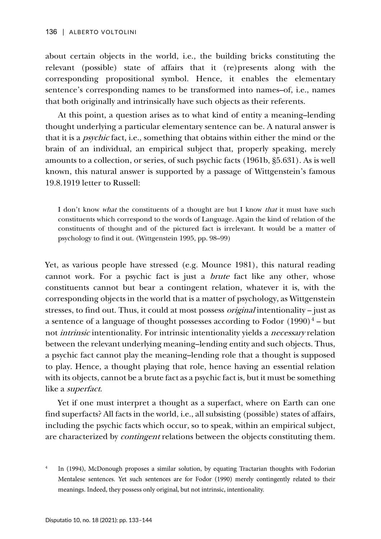about certain objects in the world, i.e., the building bricks constituting the relevant (possible) state of affairs that it (re)presents along with the corresponding propositional symbol. Hence, it enables the elementary sentence's corresponding names to be transformed into names–of, i.e., names that both originally and intrinsically have such objects as their referents.

At this point, a question arises as to what kind of entity a meaning–lending thought underlying a particular elementary sentence can be. A natural answer is that it is a psychic fact, i.e., something that obtains within either the mind or the brain of an individual, an empirical subject that, properly speaking, merely amounts to a collection, or series, of such psychic facts (1961b, §5.631). As is well known, this natural answer is supported by a passage of Wittgenstein's famous 19.8.1919 letter to Russell:

I don't know *what* the constituents of a thought are but I know *that* it must have such constituents which correspond to the words of Language. Again the kind of relation of the constituents of thought and of the pictured fact is irrelevant. It would be a matter of psychology to find it out. (Wittgenstein 1995, pp. 98–99)

Yet, as various people have stressed (e.g. Mounce 1981), this natural reading cannot work. For a psychic fact is just a brute fact like any other, whose constituents cannot but bear a contingent relation, whatever it is, with the corresponding objects in the world that is a matter of psychology, as Wittgenstein stresses, to find out. Thus, it could at most possess original intentionality – just as a sentence of a language of thought possesses according to Fodor  $(1990)^4$  $(1990)^4$  – but not intrinsic intentionality. For intrinsic intentionality yields a necessary relation between the relevant underlying meaning–lending entity and such objects. Thus, a psychic fact cannot play the meaning–lending role that a thought is supposed to play. Hence, a thought playing that role, hence having an essential relation with its objects, cannot be a brute fact as a psychic fact is, but it must be something like a superfact.

Yet if one must interpret a thought as a superfact, where on Earth can one find superfacts? All facts in the world, i.e., all subsisting (possible) states of affairs, including the psychic facts which occur, so to speak, within an empirical subject, are characterized by *contingent* relations between the objects constituting them.

<span id="page-3-0"></span><sup>&</sup>lt;sup>4</sup> In (1994), McDonough proposes a similar solution, by equating Tractarian thoughts with Fodorian Mentalese sentences. Yet such sentences are for Fodor (1990) merely contingently related to their meanings. Indeed, they possess only original, but not intrinsic, intentionality.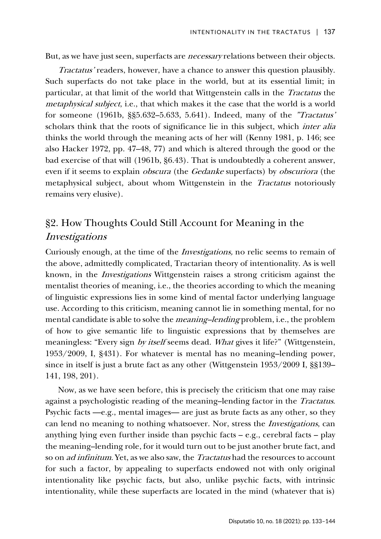But, as we have just seen, superfacts are *necessary* relations between their objects.

Tractatus' readers, however, have a chance to answer this question plausibly. Such superfacts do not take place in the world, but at its essential limit; in particular, at that limit of the world that Wittgenstein calls in the Tractatus the metaphysical subject, i.e., that which makes it the case that the world is a world for someone (1961b, §§5.632–5.633, 5.641). Indeed, many of the "Tractatus' scholars think that the roots of significance lie in this subject, which *inter alia* thinks the world through the meaning acts of her will (Kenny 1981, p. 146; see also Hacker 1972, pp. 47–48, 77) and which is altered through the good or the bad exercise of that will (1961b, §6.43). That is undoubtedly a coherent answer, even if it seems to explain obscura (the Gedanke superfacts) by obscuriora (the metaphysical subject, about whom Wittgenstein in the Tractatus notoriously remains very elusive).

# §2. How Thoughts Could Still Account for Meaning in the Investigations

Curiously enough, at the time of the Investigations, no relic seems to remain of the above, admittedly complicated, Tractarian theory of intentionality. As is well known, in the Investigations Wittgenstein raises a strong criticism against the mentalist theories of meaning, i.e., the theories according to which the meaning of linguistic expressions lies in some kind of mental factor underlying language use. According to this criticism, meaning cannot lie in something mental, for no mental candidate is able to solve the *meaning–lending* problem, i.e., the problem of how to give semantic life to linguistic expressions that by themselves are meaningless: "Every sign by itself seems dead. What gives it life?" (Wittgenstein, 1953/2009, I, §431). For whatever is mental has no meaning–lending power, since in itself is just a brute fact as any other (Wittgenstein 1953/2009 I, §§139– 141, 198, 201).

Now, as we have seen before, this is precisely the criticism that one may raise against a psychologistic reading of the meaning–lending factor in the Tractatus. Psychic facts —e.g., mental images— are just as brute facts as any other, so they can lend no meaning to nothing whatsoever. Nor, stress the Investigations, can anything lying even further inside than psychic facts – e.g., cerebral facts – play the meaning–lending role, for it would turn out to be just another brute fact, and so on ad infinitum. Yet, as we also saw, the Tractatus had the resources to account for such a factor, by appealing to superfacts endowed not with only original intentionality like psychic facts, but also, unlike psychic facts, with intrinsic intentionality, while these superfacts are located in the mind (whatever that is)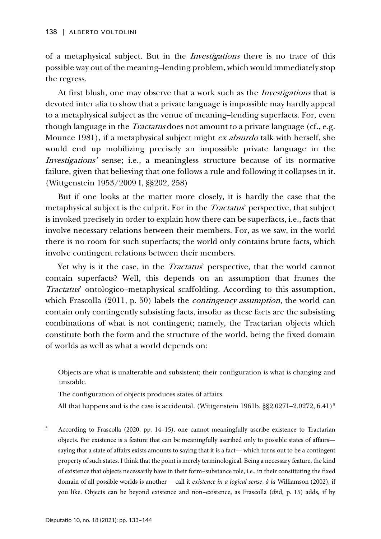of a metaphysical subject. But in the Investigations there is no trace of this possible way out of the meaning–lending problem, which would immediately stop the regress.

At first blush, one may observe that a work such as the *Investigations* that is devoted inter alia to show that a private language is impossible may hardly appeal to a metaphysical subject as the venue of meaning–lending superfacts. For, even though language in the *Tractatus* does not amount to a private language (cf., e.g. Mounce 1981), if a metaphysical subject might ex absurdo talk with herself, she would end up mobilizing precisely an impossible private language in the Investigations' sense; i.e., a meaningless structure because of its normative failure, given that believing that one follows a rule and following it collapses in it. (Wittgenstein 1953/2009 I, §§202, 258)

But if one looks at the matter more closely, it is hardly the case that the metaphysical subject is the culprit. For in the Tractatus' perspective, that subject is invoked precisely in order to explain how there can be superfacts, i.e., facts that involve necessary relations between their members. For, as we saw, in the world there is no room for such superfacts; the world only contains brute facts, which involve contingent relations between their members.

Yet why is it the case, in the *Tractatus*' perspective, that the world cannot contain superfacts? Well, this depends on an assumption that frames the Tractatus' ontologico–metaphysical scaffolding. According to this assumption, which Frascolla (2011, p. 50) labels the *contingency assumption*, the world can contain only contingently subsisting facts, insofar as these facts are the subsisting combinations of what is not contingent; namely, the Tractarian objects which constitute both the form and the structure of the world, being the fixed domain of worlds as well as what a world depends on:

Objects are what is unalterable and subsistent; their configuration is what is changing and unstable.

The configuration of objects produces states of affairs.

All that happens and is the case is accidental. (Wittgenstein 1961b, §§2.0271–2.0272, 6.41)<sup>[5](#page-5-0)</sup>

<span id="page-5-0"></span><sup>5</sup> According to Frascolla (2020, pp. 14-15), one cannot meaningfully ascribe existence to Tractarian objects. For existence is a feature that can be meaningfully ascribed only to possible states of affairs saying that a state of affairs exists amounts to saying that it is a fact— which turns out to be a contingent property of such states. I think that the point is merely terminological. Being a necessary feature, the kind of existence that objects necessarily have in their form–substance role, i.e., in their constituting the fixed domain of all possible worlds is another —call it *existence in a logical sense*, *à la* Williamson (2002), if you like. Objects can be beyond existence and non–existence, as Frascolla (*ib*id, p. 15) adds, if by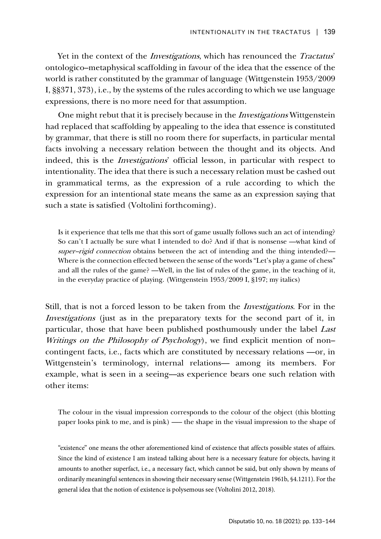Yet in the context of the *Investigations*, which has renounced the *Tractatus*' ontologico–metaphysical scaffolding in favour of the idea that the essence of the world is rather constituted by the grammar of language (Wittgenstein 1953/2009 I, §§371, 373), i.e., by the systems of the rules according to which we use language expressions, there is no more need for that assumption.

One might rebut that it is precisely because in the Investigations Wittgenstein had replaced that scaffolding by appealing to the idea that essence is constituted by grammar, that there is still no room there for superfacts, in particular mental facts involving a necessary relation between the thought and its objects. And indeed, this is the Investigations' official lesson, in particular with respect to intentionality. The idea that there is such a necessary relation must be cashed out in grammatical terms, as the expression of a rule according to which the expression for an intentional state means the same as an expression saying that such a state is satisfied (Voltolini forthcoming).

Is it experience that tells me that this sort of game usually follows such an act of intending? So can't I actually be sure what I intended to do? And if that is nonsense —what kind of super-rigid connection obtains between the act of intending and the thing intended?— Where is the connection effected between the sense of the words "Let's play a game of chess" and all the rules of the game? —Well, in the list of rules of the game, in the teaching of it, in the everyday practice of playing. (Wittgenstein 1953/2009 I, §197; my italics)

Still, that is not a forced lesson to be taken from the Investigations. For in the Investigations (just as in the preparatory texts for the second part of it, in particular, those that have been published posthumously under the label Last Writings on the Philosophy of Psychology), we find explicit mention of noncontingent facts, i.e., facts which are constituted by necessary relations —or, in Wittgenstein's terminology, internal relations— among its members. For example, what is seen in a seeing––as experience bears one such relation with other items:

The colour in the visual impression corresponds to the colour of the object (this blotting paper looks pink to me, and is pink) —– the shape in the visual impression to the shape of

"existence" one means the other aforementioned kind of existence that affects possible states of affairs. Since the kind of existence I am instead talking about here is a necessary feature for objects, having it amounts to another superfact, i.e., a necessary fact, which cannot be said, but only shown by means of ordinarily meaningful sentences in showing their necessary sense (Wittgenstein 1961b, §4.1211). For the general idea that the notion of existence is polysemous see (Voltolini 2012, 2018).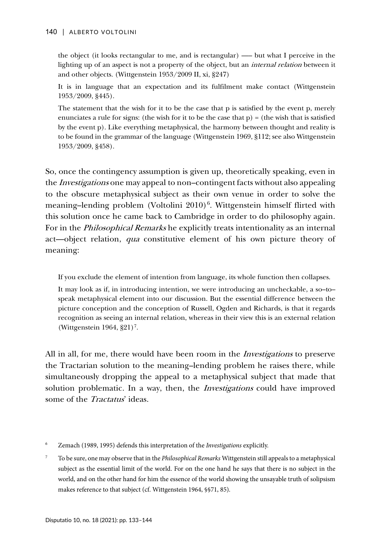the object (it looks rectangular to me, and is rectangular) —– but what I perceive in the lighting up of an aspect is not a property of the object, but an *internal relation* between it and other objects. (Wittgenstein 1953/2009 II, xi, §247)

It is in language that an expectation and its fulfilment make contact (Wittgenstein 1953/2009, §445).

The statement that the wish for it to be the case that p is satisfied by the event p, merely enunciates a rule for signs: (the wish for it to be the case that  $p$ ) = (the wish that is satisfied by the event p). Like everything metaphysical, the harmony between thought and reality is to be found in the grammar of the language (Wittgenstein 1969, §112; see also Wittgenstein 1953/2009, §458).

So, once the contingency assumption is given up, theoretically speaking, even in the *Investigations* one may appeal to non–contingent facts without also appealing to the obscure metaphysical subject as their own venue in order to solve the meaning-lending problem (Voltolini 2010)<sup>[6](#page-7-0)</sup>. Wittgenstein himself flirted with this solution once he came back to Cambridge in order to do philosophy again. For in the Philosophical Remarks he explicitly treats intentionality as an internal act––object relation, qua constitutive element of his own picture theory of meaning:

If you exclude the element of intention from language, its whole function then collapses.

It may look as if, in introducing intention, we were introducing an uncheckable, a so–to– speak metaphysical element into our discussion. But the essential difference between the picture conception and the conception of Russell, Ogden and Richards, is that it regards recognition as seeing an internal relation, whereas in their view this is an external relation (Wittgenstein  $1964$ ,  $\S21$ )<sup>[7](#page-7-1)</sup>.

All in all, for me, there would have been room in the *Investigations* to preserve the Tractarian solution to the meaning–lending problem he raises there, while simultaneously dropping the appeal to a metaphysical subject that made that solution problematic. In a way, then, the *Investigations* could have improved some of the *Tractatus*' ideas.

<span id="page-7-0"></span><sup>6</sup> Zemach (1989, 1995) defends this interpretation of the *Investigations* explicitly.

<span id="page-7-1"></span><sup>7</sup> To be sure, one may observe that in the *Philosophical Remarks* Wittgenstein still appeals to a metaphysical subject as the essential limit of the world. For on the one hand he says that there is no subject in the world, and on the other hand for him the essence of the world showing the unsayable truth of solipsism makes reference to that subject (cf. Wittgenstein 1964, §§71, 85).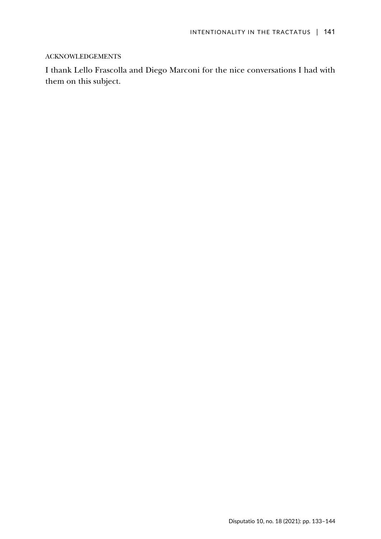### ACKNOWLEDGEMENTS

I thank Lello Frascolla and Diego Marconi for the nice conversations I had with them on this subject.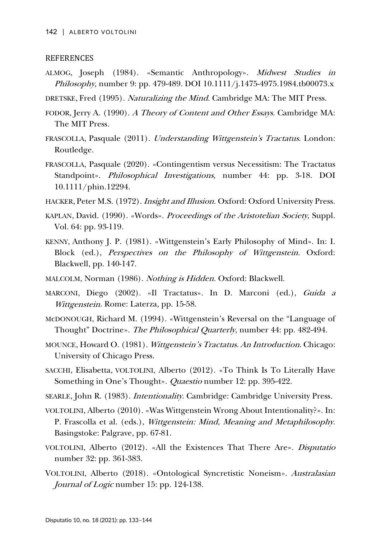### REFERENCES

- ALMOG, Joseph (1984). «Semantic Anthropology». Midwest Studies in Philosophy, number 9: pp. 479-489. DOI 10.1111/j.1475-4975.1984.tb00073.x
- DRETSKE, Fred (1995). Naturalizing the Mind. Cambridge MA: The MIT Press.
- FODOR, Jerry A. (1990). A Theory of Content and Other Essays. Cambridge MA: The MIT Press.
- FRASCOLLA, Pasquale (2011). Understanding Wittgenstein's Tractatus. London: Routledge.
- FRASCOLLA, Pasquale (2020). «Contingentism versus Necessitism: The Tractatus Standpoint». Philosophical Investigations, number 44: pp. 3-18. [DOI](https://doi.org/10.1111/phin.12294)  [10.1111/phin.12294.](https://doi.org/10.1111/phin.12294)
- HACKER, Peter M.S. (1972). Insight and Illusion. Oxford: Oxford University Press.
- KAPLAN, David. (1990). «Words». Proceedings of the Aristotelian Society, Suppl. Vol. 64: pp. 93-119.
- KENNY, Anthony J. P. (1981). «Wittgenstein's Early Philosophy of Mind». In: I. Block (ed.), *Perspectives on the Philosophy of Wittgenstein*. Oxford: Blackwell, pp. 140-147.
- MALCOLM, Norman (1986). Nothing is Hidden. Oxford: Blackwell.
- MARCONI, Diego (2002). «Il Tractatus». In D. Marconi (ed.), Guida a Wittgenstein. Rome: Laterza, pp. 15-58.
- McDONOUGH, Richard M. (1994). «Wittgenstein's Reversal on the "Language of Thought" Doctrine». The Philosophical Quarterly, number 44: pp. 482-494.
- MOUNCE, Howard O. (1981). Wittgenstein's Tractatus. An Introduction. Chicago: University of Chicago Press.
- SACCHI, Elisabetta, VOLTOLINI, Alberto (2012). «To Think Is To Literally Have Something in One's Thought». *Quaestio* number 12: pp. 395-422.
- SEARLE, John R. (1983). Intentionality. Cambridge: Cambridge University Press.
- VOLTOLINI, Alberto (2010). «Was Wittgenstein Wrong About Intentionality?». In: P. Frascolla et al. (eds.), Wittgenstein: Mind, Meaning and Metaphilosophy. Basingstoke: Palgrave, pp. 67-81.
- VOLTOLINI, Alberto (2012). «All the Existences That There Are». Disputatio number 32: pp. 361-383.
- VOLTOLINI, Alberto (2018). «Ontological Syncretistic Noneism». Australasian Journal of Logic number 15: pp. 124-138.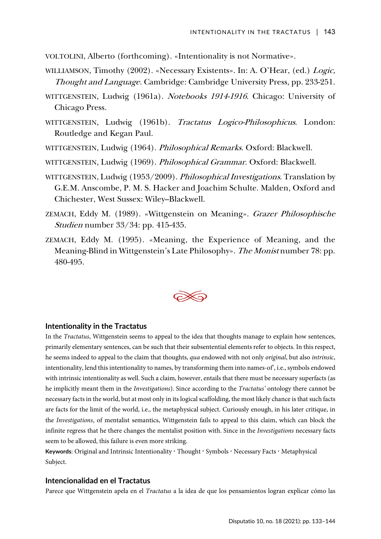VOLTOLINI, Alberto (forthcoming). «Intentionality is not Normative».

- WILLIAMSON, Timothy (2002). «Necessary Existents». In: A. O'Hear, (ed.) Logic, Thought and Language. Cambridge: Cambridge University Press, pp. 233-251.
- WITTGENSTEIN, Ludwig (1961a). Notebooks 1914-1916. Chicago: University of Chicago Press.
- WITTGENSTEIN, Ludwig (1961b). Tractatus Logico-Philosophicus. London: Routledge and Kegan Paul.
- WITTGENSTEIN, Ludwig (1964). Philosophical Remarks. Oxford: Blackwell.
- WITTGENSTEIN, Ludwig (1969). Philosophical Grammar. Oxford: Blackwell.
- WITTGENSTEIN, Ludwig (1953/2009). Philosophical Investigations. Translation by G.E.M. Anscombe, P. M. S. Hacker and Joachim Schulte. Malden, Oxford and Chichester, West Sussex: Wiley–Blackwell.
- ZEMACH, Eddy M. (1989). «Wittgenstein on Meaning». Grazer Philosophische Studien number 33/34: pp. 415-435.
- ZEMACH, Eddy M. (1995). «Meaning, the Experience of Meaning, and the Meaning-Blind in Wittgenstein's Late Philosophy». The Monist number 78: pp. 480-495.



#### **Intentionality in the Tractatus**

In the *Tractatus*, Wittgenstein seems to appeal to the idea that thoughts manage to explain how sentences, primarily elementary sentences, can be such that their subsentential elements refer to objects. In this respect, he seems indeed to appeal to the claim that thoughts, *qua* endowed with not only *original*, but also *intrinsic*, intentionality, lend this intentionality to names, by transforming them into names-of', i.e., symbols endowed with intrinsic intentionality as well. Such a claim, however, entails that there must be necessary superfacts (as he implicitly meant them in the *Investigations*). Since according to the *Tractatus'* ontology there cannot be necessary facts in the world, but at most only in its logical scaffolding, the most likely chance is that such facts are facts for the limit of the world, i.e., the metaphysical subject. Curiously enough, in his later critique, in the *Investigations*, of mentalist semantics, Wittgenstein fails to appeal to this claim, which can block the infinite regress that he there changes the mentalist position with. Since in the *Investigations* necessary facts seem to be allowed, this failure is even more striking.

Keywords: Original and Intrinsic Intentionality **·** Thought **·** Symbols **·** Necessary Facts **·** Metaphysical Subject.

### **Intencionalidad en el Tractatus**

Parece que Wittgenstein apela en el *Tractatus* a la idea de que los pensamientos logran explicar cómo las